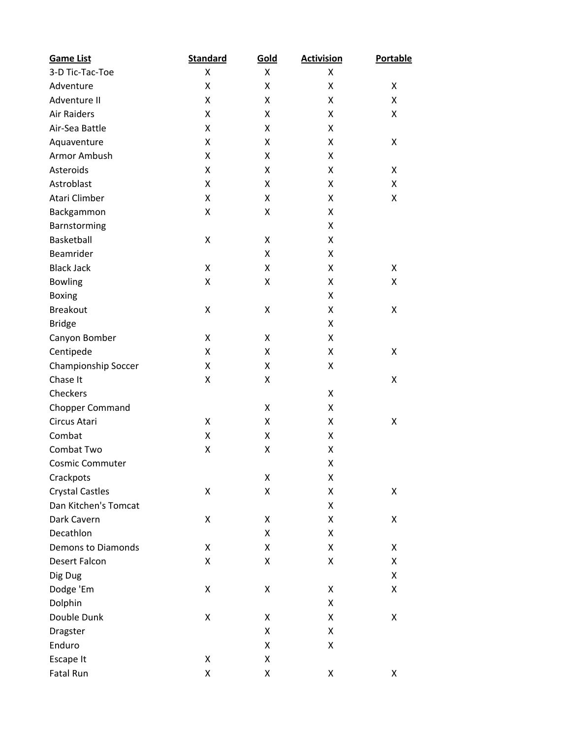| <b>Game List</b>          | <b>Standard</b> | Gold | <b>Activision</b> | <b>Portable</b> |
|---------------------------|-----------------|------|-------------------|-----------------|
| 3-D Tic-Tac-Toe           | X               | X    | Χ                 |                 |
| Adventure                 | Χ               | Χ    | X                 | Χ               |
| Adventure II              | Χ               | Χ    | X                 | Χ               |
| <b>Air Raiders</b>        | Χ               | X    | X                 | Χ               |
| Air-Sea Battle            | X               | Χ    | X                 |                 |
| Aquaventure               | Χ               | Χ    | X                 | Χ               |
| <b>Armor Ambush</b>       | X               | Χ    | X                 |                 |
| Asteroids                 | X               | X    | X                 | x               |
| Astroblast                | X               | Χ    | X                 | Χ               |
| Atari Climber             | Χ               | X    | X                 | Χ               |
| Backgammon                | Χ               | Χ    | X                 |                 |
| Barnstorming              |                 |      | X                 |                 |
| Basketball                | Χ               | Χ    | X                 |                 |
| Beamrider                 |                 | Χ    | X                 |                 |
| <b>Black Jack</b>         | X               | Χ    | X                 | Χ               |
| <b>Bowling</b>            | Χ               | Χ    | X                 | Χ               |
| <b>Boxing</b>             |                 |      | X                 |                 |
| <b>Breakout</b>           | Χ               | Χ    | X                 | Χ               |
| <b>Bridge</b>             |                 |      | X                 |                 |
| Canyon Bomber             | X               | X    | X                 |                 |
| Centipede                 | X               | Χ    | X                 | Χ               |
| Championship Soccer       | Χ               | Χ    | X                 |                 |
| Chase It                  | Χ               | Χ    |                   | Χ               |
| Checkers                  |                 |      | X                 |                 |
| <b>Chopper Command</b>    |                 | X    | X                 |                 |
| Circus Atari              | Χ               | Χ    | X                 | Χ               |
| Combat                    | Χ               | Χ    | X                 |                 |
| Combat Two                | Χ               | Χ    | X                 |                 |
| <b>Cosmic Commuter</b>    |                 |      | Χ                 |                 |
| Crackpots                 |                 | Χ    | Χ                 |                 |
| <b>Crystal Castles</b>    | Χ               | Χ    | Χ                 | Χ               |
| Dan Kitchen's Tomcat      |                 |      | X                 |                 |
| Dark Cavern               | Χ               | Χ    | X                 | Χ               |
| Decathlon                 |                 | Χ    | X                 |                 |
| <b>Demons to Diamonds</b> | Χ               | Χ    | X                 | Χ               |
| <b>Desert Falcon</b>      | Χ               | Χ    | Χ                 | Χ               |
| Dig Dug                   |                 |      |                   | Χ               |
| Dodge 'Em                 | Χ               | Χ    | Χ                 | Χ               |
| Dolphin                   |                 |      | X                 |                 |
| Double Dunk               | Χ               | Χ    | Χ                 | Χ               |
| Dragster                  |                 | Χ    | Χ                 |                 |
| Enduro                    |                 | Χ    | X                 |                 |
| Escape It                 | Χ               | Χ    |                   |                 |
| Fatal Run                 | Χ               | Χ    | Χ                 | Χ               |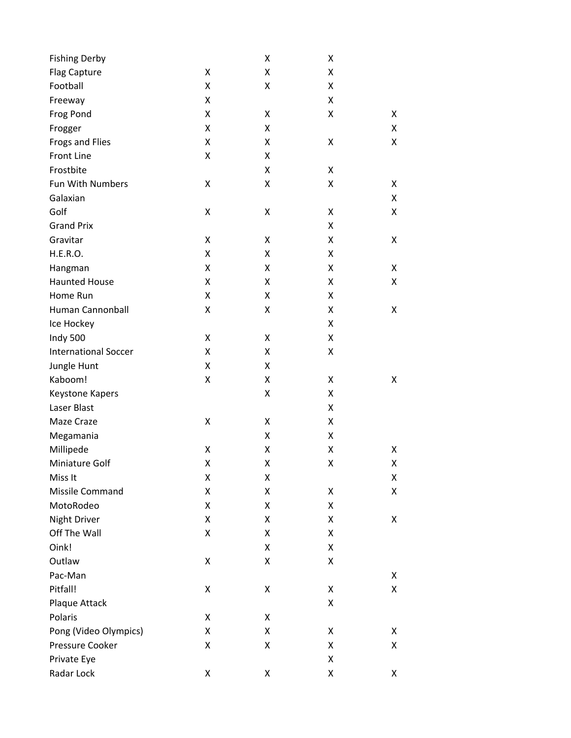| <b>Fishing Derby</b>        |   | Χ | X |   |
|-----------------------------|---|---|---|---|
| Flag Capture                | X | Χ | Χ |   |
| Football                    | Χ | Χ | X |   |
| Freeway                     | X |   | X |   |
| Frog Pond                   | Χ | Χ | X | Χ |
| Frogger                     | X | Χ |   | Χ |
| Frogs and Flies             | Χ | Χ | X | Χ |
| <b>Front Line</b>           | Χ | Χ |   |   |
| Frostbite                   |   | Χ | X |   |
| Fun With Numbers            | Χ | Χ | Χ | Χ |
| Galaxian                    |   |   |   | Χ |
| Golf                        | Χ | Χ | X | Χ |
| <b>Grand Prix</b>           |   |   | X |   |
| Gravitar                    | Χ | Χ | X | Χ |
| H.E.R.O.                    | Χ | Χ | X |   |
| Hangman                     | Χ | Χ | Χ | Χ |
| <b>Haunted House</b>        | Χ | Χ | X | Χ |
| Home Run                    | X | Χ | X |   |
| Human Cannonball            | Χ | Χ | X | Χ |
| Ice Hockey                  |   |   | X |   |
| Indy 500                    | Χ | Χ | X |   |
| <b>International Soccer</b> | X | Χ | Χ |   |
| Jungle Hunt                 | Χ | Χ |   |   |
| Kaboom!                     | Χ | Χ | X | Χ |
| Keystone Kapers             |   | Χ | X |   |
| Laser Blast                 |   |   | X |   |
| Maze Craze                  | Χ | Χ | X |   |
| Megamania                   |   | Χ | X |   |
| Millipede                   | Χ | Χ | X | Χ |
| Miniature Golf              | Χ | Χ | Χ | Χ |
| Miss It                     | Χ | Χ |   | Χ |
| Missile Command             | Χ | Χ | Χ | Χ |
| MotoRodeo                   | Χ | Χ | X |   |
| <b>Night Driver</b>         | Χ | Χ | X | Χ |
| Off The Wall                | Χ | Χ | Χ |   |
| Oink!                       |   | Χ | X |   |
| Outlaw                      | Χ | Χ | X |   |
| Pac-Man                     |   |   |   | Χ |
| Pitfall!                    | Χ | Χ | Χ | Χ |
| Plaque Attack               |   |   | Χ |   |
| Polaris                     | Χ | Χ |   |   |
| Pong (Video Olympics)       | Χ | Χ | Χ | Χ |
| Pressure Cooker             | Χ | Χ | Χ | Χ |
| Private Eye                 |   |   | X |   |
| Radar Lock                  | Χ | Χ | Χ | Χ |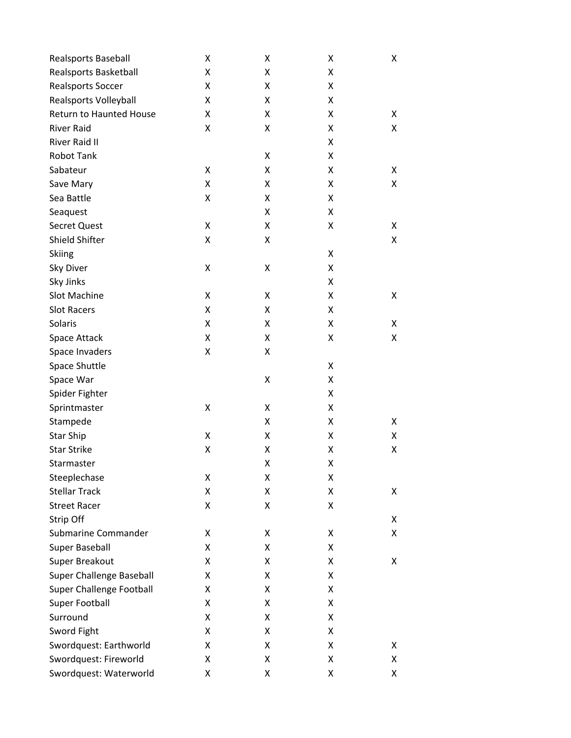| Realsports Baseball             | Χ | Χ | Χ | Χ |
|---------------------------------|---|---|---|---|
| Realsports Basketball           | Χ | X | Χ |   |
| Realsports Soccer               | Χ | Χ | Χ |   |
| Realsports Volleyball           | Χ | Χ | Χ |   |
| Return to Haunted House         | Χ | X | Χ | X |
| <b>River Raid</b>               | Χ | Χ | Χ | Χ |
| <b>River Raid II</b>            |   |   | Χ |   |
| <b>Robot Tank</b>               |   | Χ | Χ |   |
| Sabateur                        | Χ | Χ | Χ | х |
| Save Mary                       | Χ | Χ | Χ | Χ |
| Sea Battle                      | Χ | Χ | Χ |   |
| Seaquest                        |   | Χ | Χ |   |
| <b>Secret Quest</b>             | Χ | Χ | Χ | х |
| Shield Shifter                  | Χ | Χ |   | Χ |
| <b>Skiing</b>                   |   |   | X |   |
| Sky Diver                       | Χ | Χ | Χ |   |
| Sky Jinks                       |   |   | Χ |   |
| Slot Machine                    | Χ | X | Χ | Χ |
| <b>Slot Racers</b>              | Χ | Χ | Χ |   |
| Solaris                         | Χ | Χ | Χ | Χ |
| Space Attack                    | Χ | X | Χ | Χ |
| Space Invaders                  | Χ | Χ |   |   |
| Space Shuttle                   |   |   | X |   |
| Space War                       |   | Χ | Χ |   |
| Spider Fighter                  |   |   | Χ |   |
| Sprintmaster                    | Χ | Χ | Χ |   |
| Stampede                        |   | Χ | Χ | Χ |
| <b>Star Ship</b>                | Χ | Χ | Χ | Χ |
| <b>Star Strike</b>              | Χ | Χ | Χ | Χ |
| Starmaster                      |   | Χ | Χ |   |
| Steeplechase                    | Χ | Χ | Χ |   |
| <b>Stellar Track</b>            | Χ | Χ | Χ | Χ |
| <b>Street Racer</b>             | Χ | Χ | Χ |   |
| Strip Off                       |   |   |   | Χ |
| Submarine Commander             | x | X | Χ | Χ |
| <b>Super Baseball</b>           | Χ | Χ | Χ |   |
| Super Breakout                  | Χ | Χ | Χ | Χ |
| <b>Super Challenge Baseball</b> | Χ | Χ | Χ |   |
| <b>Super Challenge Football</b> | Χ | Χ | Χ |   |
| Super Football                  | Χ | Χ | Χ |   |
| Surround                        | Χ | Χ | Χ |   |
| Sword Fight                     | Χ | Χ | X |   |
| Swordquest: Earthworld          | Χ | Χ | Χ | X |
| Swordquest: Fireworld           | Χ | Χ | Χ | Χ |
| Swordquest: Waterworld          | Χ | Χ | Χ | Χ |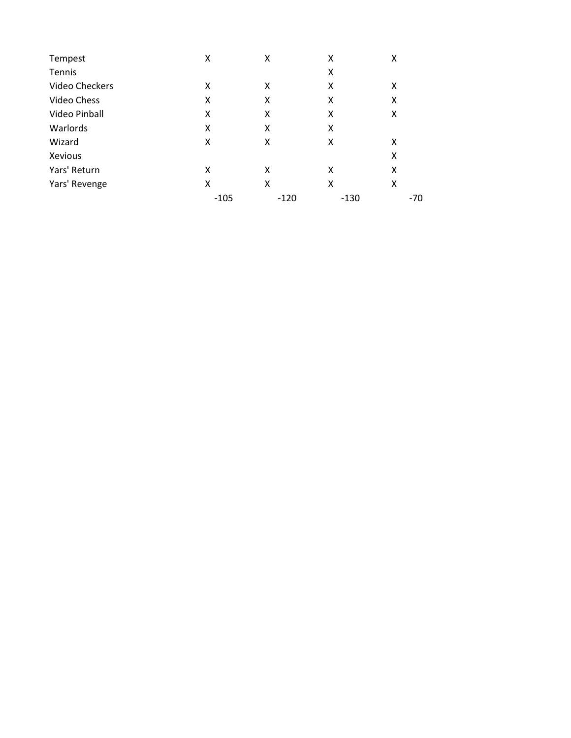| Tempest               | X      | x      | Χ      | Χ   |
|-----------------------|--------|--------|--------|-----|
| Tennis                |        |        | Χ      |     |
| <b>Video Checkers</b> | x      | X      | Χ      | Χ   |
| Video Chess           | x      | x      | X      | x   |
| Video Pinball         | x      | x      | x      | X   |
| Warlords              | x      | x      | Χ      |     |
| Wizard                | x      | x      | x      | x   |
| Xevious               |        |        |        | Χ   |
| Yars' Return          | x      | x      | x      | x   |
| Yars' Revenge         | x      | x      | x      | X   |
|                       | $-105$ | $-120$ | $-130$ | -70 |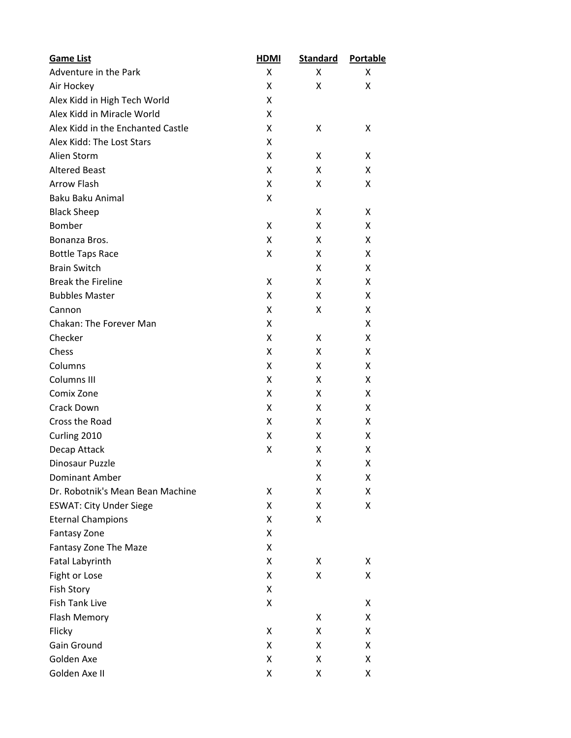| <b>Game List</b>                  | <u>HDMI</u> | <b>Standard</b> | <b>Portable</b> |
|-----------------------------------|-------------|-----------------|-----------------|
| Adventure in the Park             | Χ           | X               | x               |
| Air Hockey                        | Χ           | Χ               | x               |
| Alex Kidd in High Tech World      | Χ           |                 |                 |
| Alex Kidd in Miracle World        | x           |                 |                 |
| Alex Kidd in the Enchanted Castle | Χ           | X               | x               |
| Alex Kidd: The Lost Stars         | Χ           |                 |                 |
| Alien Storm                       | Χ           | X               | X               |
| <b>Altered Beast</b>              | x           | X               | X               |
| <b>Arrow Flash</b>                | Χ           | x               | X               |
| Baku Baku Animal                  | Χ           |                 |                 |
| <b>Black Sheep</b>                |             | X               | X               |
| Bomber                            | x           | X               | X               |
| Bonanza Bros.                     | Χ           | x               | X               |
| <b>Bottle Taps Race</b>           | Χ           | X               | x               |
| <b>Brain Switch</b>               |             | x               | x               |
| <b>Break the Fireline</b>         | x           | X               | X               |
| <b>Bubbles Master</b>             | Χ           | x               | x               |
| Cannon                            | Χ           | x               | x               |
| <b>Chakan: The Forever Man</b>    | Χ           |                 | x               |
| Checker                           | x           | X               | X               |
| Chess                             | Χ           | X               | X               |
| Columns                           | Χ           | X               | X               |
| Columns III                       | Χ           | x               | X               |
| Comix Zone                        | x           | X               | X               |
| <b>Crack Down</b>                 | Χ           | X               | X               |
| Cross the Road                    | Χ           | X               | X               |
| Curling 2010                      | Χ           | x               | X               |
| Decap Attack                      | Χ           | x               | x               |
| Dinosaur Puzzle                   |             | Χ               | x               |
| <b>Dominant Amber</b>             |             | X               | x               |
| Dr. Robotnik's Mean Bean Machine  | Χ           | Χ               | x               |
| <b>ESWAT: City Under Siege</b>    | Χ           | X               | X               |
| <b>Eternal Champions</b>          | Χ           | Χ               |                 |
| <b>Fantasy Zone</b>               | Χ           |                 |                 |
| Fantasy Zone The Maze             | Χ           |                 |                 |
| <b>Fatal Labyrinth</b>            | Χ           | х               | x               |
| Fight or Lose                     | Χ           | Χ               | X               |
| Fish Story                        | x           |                 |                 |
| <b>Fish Tank Live</b>             | Χ           |                 | x               |
| <b>Flash Memory</b>               |             | X               | X               |
| Flicky                            | Χ           | Χ               | x               |
| Gain Ground                       | x           | x               | X               |
| Golden Axe                        | Χ           | Χ               | x               |
| Golden Axe II                     | Χ           | Χ               | x               |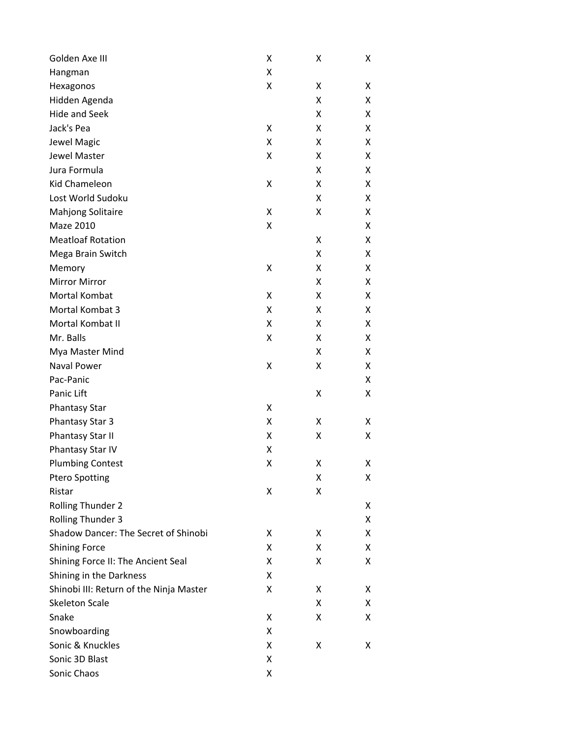| Golden Axe III                          | X | X | Χ |
|-----------------------------------------|---|---|---|
| Hangman                                 | Χ |   |   |
| Hexagonos                               | Χ | Χ | x |
| Hidden Agenda                           |   | Χ | Χ |
| <b>Hide and Seek</b>                    |   | Χ | X |
| Jack's Pea                              | Χ | Χ | X |
| Jewel Magic                             | Χ | Χ | x |
| Jewel Master                            | Χ | Χ | X |
| Jura Formula                            |   | Χ | x |
| Kid Chameleon                           | Χ | Χ | X |
| Lost World Sudoku                       |   | Χ | X |
| <b>Mahjong Solitaire</b>                | Χ | Χ | X |
| Maze 2010                               | Χ |   | x |
| <b>Meatloaf Rotation</b>                |   | Χ | X |
| Mega Brain Switch                       |   | Χ | x |
| Memory                                  | Χ | Χ | X |
| <b>Mirror Mirror</b>                    |   | Χ | x |
| Mortal Kombat                           | Χ | Χ | Χ |
| Mortal Kombat 3                         | Χ | Χ | Χ |
| Mortal Kombat II                        | Χ | Χ | Χ |
| Mr. Balls                               | Χ | Χ | x |
| Mya Master Mind                         |   | Χ | Χ |
| <b>Naval Power</b>                      | Χ | Χ | x |
| Pac-Panic                               |   |   | Χ |
| Panic Lift                              |   | Χ | Χ |
| <b>Phantasy Star</b>                    | Χ |   |   |
| Phantasy Star 3                         | Χ | Χ | x |
| Phantasy Star II                        | Χ | Χ | Χ |
| Phantasy Star IV                        | X |   |   |
| <b>Plumbing Contest</b>                 | Χ | Χ | χ |
| <b>Ptero Spotting</b>                   |   | X | х |
| Ristar                                  | Χ | Χ |   |
| <b>Rolling Thunder 2</b>                |   |   | x |
| <b>Rolling Thunder 3</b>                |   |   | X |
| Shadow Dancer: The Secret of Shinobi    | x | X | X |
| <b>Shining Force</b>                    | X | Χ | X |
| Shining Force II: The Ancient Seal      | x | Χ | x |
| Shining in the Darkness                 | Χ |   |   |
| Shinobi III: Return of the Ninja Master | x | X | х |
| <b>Skeleton Scale</b>                   |   | Χ | X |
| Snake                                   | x | Χ | x |
| Snowboarding                            | Χ |   |   |
| Sonic & Knuckles                        | x | X | х |
| Sonic 3D Blast                          | Χ |   |   |
| Sonic Chaos                             | Χ |   |   |